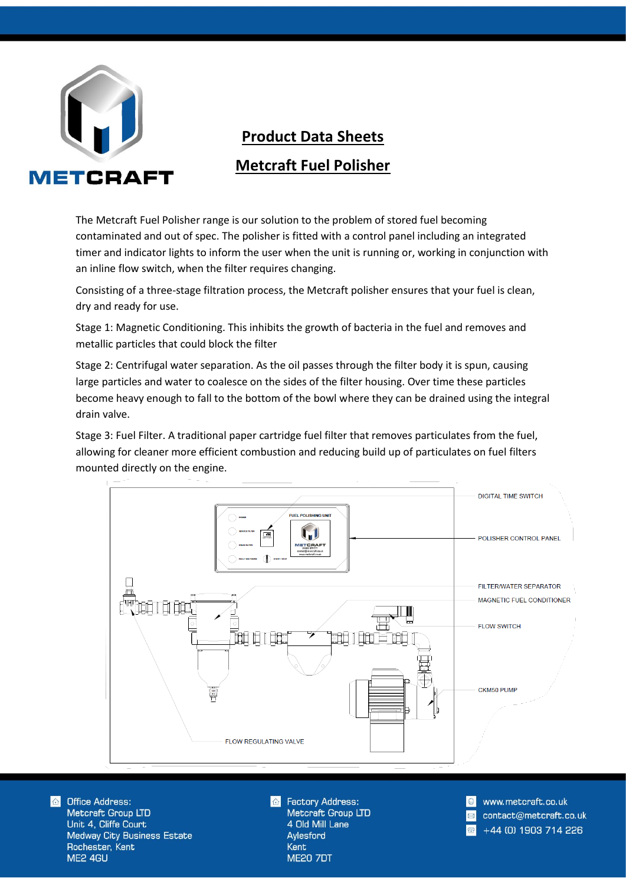

## **Product Data Sheets Metcraft Fuel Polisher**

The Metcraft Fuel Polisher range is our solution to the problem of stored fuel becoming contaminated and out of spec. The polisher is fitted with a control panel including an integrated timer and indicator lights to inform the user when the unit is running or, working in conjunction with an inline flow switch, when the filter requires changing.

Consisting of a three-stage filtration process, the Metcraft polisher ensures that your fuel is clean, dry and ready for use.

Stage 1: Magnetic Conditioning. This inhibits the growth of bacteria in the fuel and removes and metallic particles that could block the filter

Stage 2: Centrifugal water separation. As the oil passes through the filter body it is spun, causing large particles and water to coalesce on the sides of the filter housing. Over time these particles become heavy enough to fall to the bottom of the bowl where they can be drained using the integral drain valve.

Stage 3: Fuel Filter. A traditional paper cartridge fuel filter that removes particulates from the fuel, allowing for cleaner more efficient combustion and reducing build up of particulates on fuel filters mounted directly on the engine.



 $\bigcirc$ **Office Address:** Metcraft Group LTD Unit 4, Cliffe Court **Medway City Business Estate** Rochester, Kent ME2 4GU

**Factory Address:** Metcraft Group LTD 4 Old Mill Lane Aylesford **Kent ME20 7DT** 

www.metcraft.co.uk contact@metcraft.co.uk +44 (0) 1903 714 226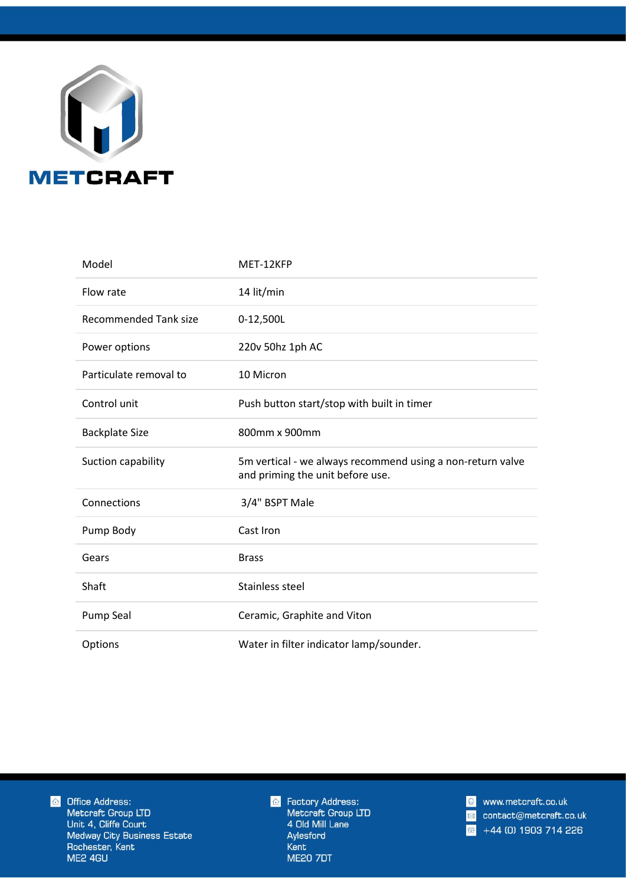

| Model                        | MET-12KFP                                                                                      |
|------------------------------|------------------------------------------------------------------------------------------------|
| Flow rate                    | 14 lit/min                                                                                     |
| <b>Recommended Tank size</b> | 0-12,500L                                                                                      |
| Power options                | 220v 50hz 1ph AC                                                                               |
| Particulate removal to       | 10 Micron                                                                                      |
| Control unit                 | Push button start/stop with built in timer                                                     |
| <b>Backplate Size</b>        | 800mm x 900mm                                                                                  |
| Suction capability           | 5m vertical - we always recommend using a non-return valve<br>and priming the unit before use. |
| Connections                  | 3/4" BSPT Male                                                                                 |
| Pump Body                    | Cast Iron                                                                                      |
| Gears                        | <b>Brass</b>                                                                                   |
| Shaft                        | Stainless steel                                                                                |
| <b>Pump Seal</b>             | Ceramic, Graphite and Viton                                                                    |
| Options                      | Water in filter indicator lamp/sounder.                                                        |

**TO** Office Address: Metcraft Group LTD Unit 4, Cliffe Court Medway City Business Estate Rochester, Kent ME2 4GU

*G* Factory Address:<br>Metcraft Group LTD 4 Old Mill Lane Aylesford Kent **ME20 7DT** 

www.metcraft.co.uk  $|e|$ contact@metcraft.co.uk  $\boxtimes$ +44 (0) 1903 714 226  $\sqrt{20}$